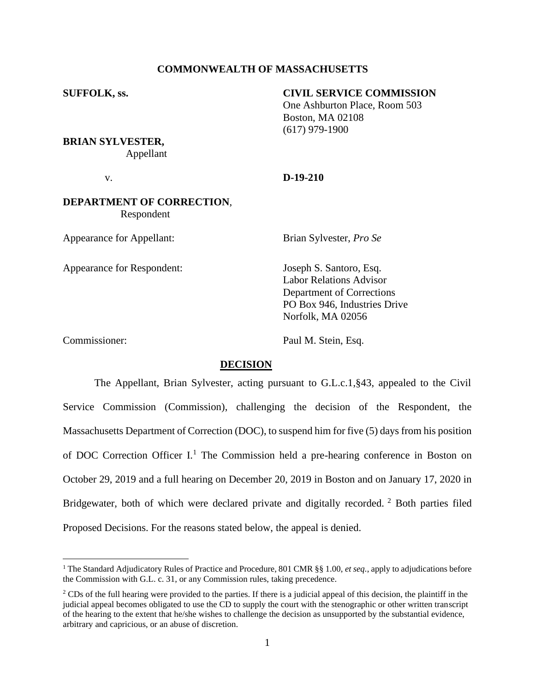# **COMMONWEALTH OF MASSACHUSETTS**

# **SUFFOLK, ss. CIVIL SERVICE COMMISSION**

One Ashburton Place, Room 503 Boston, MA 02108 (617) 979-1900

**BRIAN SYLVESTER,** Appellant

## v. **D-19-210**

# **DEPARTMENT OF CORRECTION**, Respondent

Appearance for Appellant: Brian Sylvester, *Pro Se*

Appearance for Respondent: Joseph S. Santoro, Esq.

Labor Relations Advisor Department of Corrections PO Box 946, Industries Drive Norfolk, MA 02056

Commissioner: Paul M. Stein, Esq.

# **DECISION**

The Appellant, Brian Sylvester, acting pursuant to G.L.c.1,§43, appealed to the Civil Service Commission (Commission), challenging the decision of the Respondent, the Massachusetts Department of Correction (DOC), to suspend him for five (5) days from his position of DOC Correction Officer  $I<sup>1</sup>$ . The Commission held a pre-hearing conference in Boston on October 29, 2019 and a full hearing on December 20, 2019 in Boston and on January 17, 2020 in Bridgewater, both of which were declared private and digitally recorded. <sup>2</sup> Both parties filed Proposed Decisions. For the reasons stated below, the appeal is denied.

<sup>1</sup> The Standard Adjudicatory Rules of Practice and Procedure, 801 CMR §§ 1.00, *et seq.*, apply to adjudications before the Commission with G.L. c. 31, or any Commission rules, taking precedence.

 $2^2$  CDs of the full hearing were provided to the parties. If there is a judicial appeal of this decision, the plaintiff in the judicial appeal becomes obligated to use the CD to supply the court with the stenographic or other written transcript of the hearing to the extent that he/she wishes to challenge the decision as unsupported by the substantial evidence, arbitrary and capricious, or an abuse of discretion.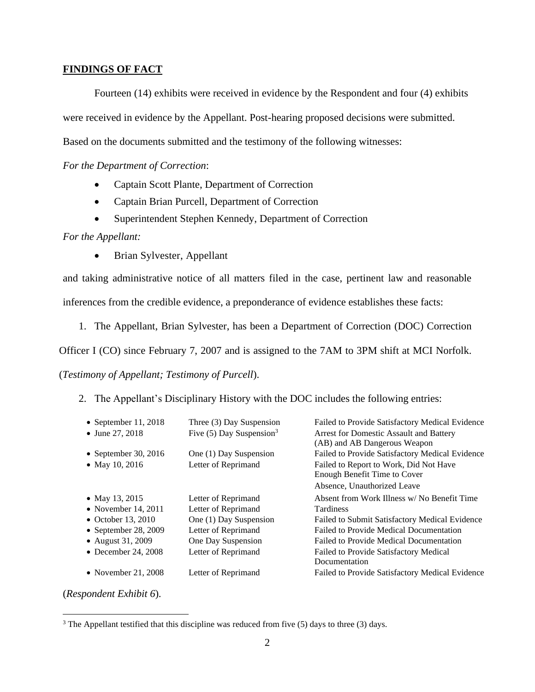# **FINDINGS OF FACT**

Fourteen (14) exhibits were received in evidence by the Respondent and four (4) exhibits were received in evidence by the Appellant. Post-hearing proposed decisions were submitted. Based on the documents submitted and the testimony of the following witnesses:

*For the Department of Correction*:

- Captain Scott Plante, Department of Correction
- Captain Brian Purcell, Department of Correction
- Superintendent Stephen Kennedy, Department of Correction

*For the Appellant:*

• Brian Sylvester, Appellant

and taking administrative notice of all matters filed in the case, pertinent law and reasonable

inferences from the credible evidence, a preponderance of evidence establishes these facts:

1. The Appellant, Brian Sylvester, has been a Department of Correction (DOC) Correction

Officer I (CO) since February 7, 2007 and is assigned to the 7AM to 3PM shift at MCI Norfolk.

(*Testimony of Appellant; Testimony of Purcell*).

2. The Appellant's Disciplinary History with the DOC includes the following entries:

| • September 11, 2018 | Three (3) Day Suspension               | Failed to Provide Satisfactory Medical Evidence |
|----------------------|----------------------------------------|-------------------------------------------------|
| • June 27, 2018      | Five $(5)$ Day Suspension <sup>3</sup> | Arrest for Domestic Assault and Battery         |
|                      |                                        | (AB) and AB Dangerous Weapon                    |
| • September 30, 2016 | One (1) Day Suspension                 | Failed to Provide Satisfactory Medical Evidence |
| • May 10, 2016       | Letter of Reprimand                    | Failed to Report to Work, Did Not Have          |
|                      |                                        | Enough Benefit Time to Cover                    |
|                      |                                        | Absence, Unauthorized Leave                     |
| • May 13, 2015       | Letter of Reprimand                    | Absent from Work Illness w/No Benefit Time      |
| • November 14, 2011  | Letter of Reprimand                    | <b>Tardiness</b>                                |
| • October 13, 2010   | One (1) Day Suspension                 | Failed to Submit Satisfactory Medical Evidence  |
| • September 28, 2009 | Letter of Reprimand                    | Failed to Provide Medical Documentation         |
| • August 31, 2009    | One Day Suspension                     | Failed to Provide Medical Documentation         |
| • December 24, 2008  | Letter of Reprimand                    | Failed to Provide Satisfactory Medical          |
|                      |                                        | Documentation                                   |
| • November 21, 2008  | Letter of Reprimand                    | Failed to Provide Satisfactory Medical Evidence |

(*Respondent Exhibit 6*).

<sup>&</sup>lt;sup>3</sup> The Appellant testified that this discipline was reduced from five (5) days to three (3) days.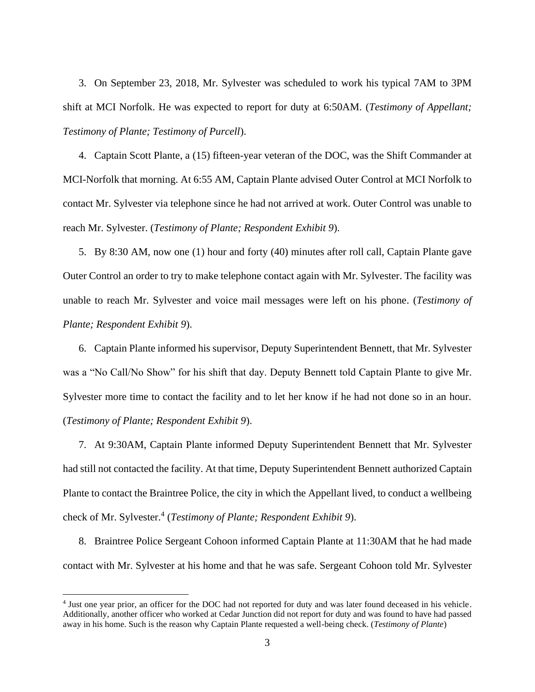3. On September 23, 2018, Mr. Sylvester was scheduled to work his typical 7AM to 3PM shift at MCI Norfolk. He was expected to report for duty at 6:50AM. (*Testimony of Appellant; Testimony of Plante; Testimony of Purcell*).

4. Captain Scott Plante, a (15) fifteen-year veteran of the DOC, was the Shift Commander at MCI-Norfolk that morning. At 6:55 AM, Captain Plante advised Outer Control at MCI Norfolk to contact Mr. Sylvester via telephone since he had not arrived at work. Outer Control was unable to reach Mr. Sylvester. (*Testimony of Plante; Respondent Exhibit 9*).

5. By 8:30 AM, now one (1) hour and forty (40) minutes after roll call, Captain Plante gave Outer Control an order to try to make telephone contact again with Mr. Sylvester. The facility was unable to reach Mr. Sylvester and voice mail messages were left on his phone. (*Testimony of Plante; Respondent Exhibit 9*).

6. Captain Plante informed his supervisor, Deputy Superintendent Bennett, that Mr. Sylvester was a "No Call/No Show" for his shift that day. Deputy Bennett told Captain Plante to give Mr. Sylvester more time to contact the facility and to let her know if he had not done so in an hour. (*Testimony of Plante; Respondent Exhibit 9*).

7. At 9:30AM, Captain Plante informed Deputy Superintendent Bennett that Mr. Sylvester had still not contacted the facility. At that time, Deputy Superintendent Bennett authorized Captain Plante to contact the Braintree Police, the city in which the Appellant lived, to conduct a wellbeing check of Mr. Sylvester.<sup>4</sup> (Testimony of Plante; Respondent Exhibit 9).

8. Braintree Police Sergeant Cohoon informed Captain Plante at 11:30AM that he had made contact with Mr. Sylvester at his home and that he was safe. Sergeant Cohoon told Mr. Sylvester

<sup>&</sup>lt;sup>4</sup> Just one year prior, an officer for the DOC had not reported for duty and was later found deceased in his vehicle. Additionally, another officer who worked at Cedar Junction did not report for duty and was found to have had passed away in his home. Such is the reason why Captain Plante requested a well-being check. (*Testimony of Plante*)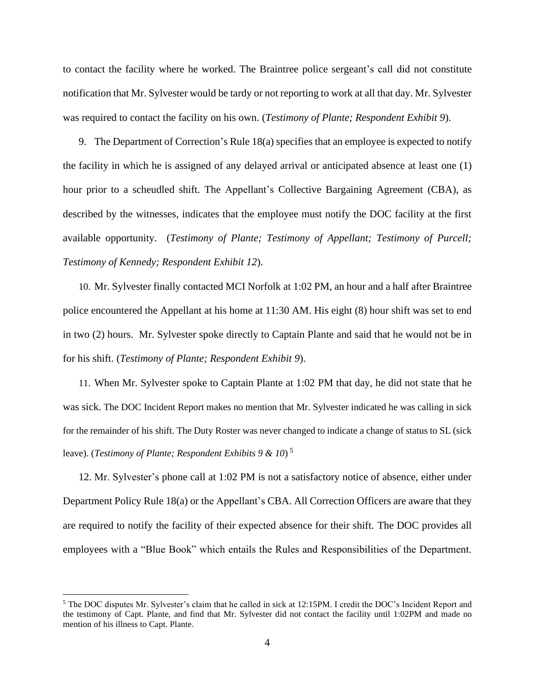to contact the facility where he worked. The Braintree police sergeant's call did not constitute notification that Mr. Sylvester would be tardy or not reporting to work at all that day. Mr. Sylvester was required to contact the facility on his own. (*Testimony of Plante; Respondent Exhibit 9*).

9. The Department of Correction's Rule 18(a) specifies that an employee is expected to notify the facility in which he is assigned of any delayed arrival or anticipated absence at least one (1) hour prior to a scheudled shift. The Appellant's Collective Bargaining Agreement (CBA), as described by the witnesses, indicates that the employee must notify the DOC facility at the first available opportunity. (*Testimony of Plante; Testimony of Appellant; Testimony of Purcell; Testimony of Kennedy; Respondent Exhibit 12*).

10. Mr. Sylvester finally contacted MCI Norfolk at 1:02 PM, an hour and a half after Braintree police encountered the Appellant at his home at 11:30 AM. His eight (8) hour shift was set to end in two (2) hours. Mr. Sylvester spoke directly to Captain Plante and said that he would not be in for his shift. (*Testimony of Plante; Respondent Exhibit 9*).

11. When Mr. Sylvester spoke to Captain Plante at 1:02 PM that day, he did not state that he was sick. The DOC Incident Report makes no mention that Mr. Sylvester indicated he was calling in sick for the remainder of his shift. The Duty Roster was never changed to indicate a change of status to SL (sick leave). (*Testimony of Plante; Respondent Exhibits 9 & 10*) 5

12. Mr. Sylvester's phone call at 1:02 PM is not a satisfactory notice of absence, either under Department Policy Rule 18(a) or the Appellant's CBA. All Correction Officers are aware that they are required to notify the facility of their expected absence for their shift. The DOC provides all employees with a "Blue Book" which entails the Rules and Responsibilities of the Department.

<sup>5</sup> The DOC disputes Mr. Sylvester's claim that he called in sick at 12:15PM. I credit the DOC's Incident Report and the testimony of Capt. Plante, and find that Mr. Sylvester did not contact the facility until 1:02PM and made no mention of his illness to Capt. Plante.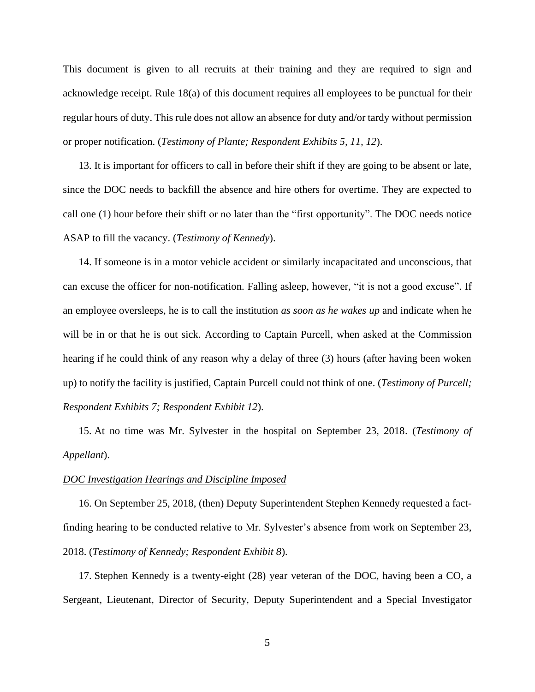This document is given to all recruits at their training and they are required to sign and acknowledge receipt. Rule 18(a) of this document requires all employees to be punctual for their regular hours of duty. This rule does not allow an absence for duty and/or tardy without permission or proper notification. (*Testimony of Plante; Respondent Exhibits 5, 11, 12*).

13. It is important for officers to call in before their shift if they are going to be absent or late, since the DOC needs to backfill the absence and hire others for overtime. They are expected to call one (1) hour before their shift or no later than the "first opportunity". The DOC needs notice ASAP to fill the vacancy. (*Testimony of Kennedy*).

14. If someone is in a motor vehicle accident or similarly incapacitated and unconscious, that can excuse the officer for non-notification. Falling asleep, however, "it is not a good excuse". If an employee oversleeps, he is to call the institution *as soon as he wakes up* and indicate when he will be in or that he is out sick. According to Captain Purcell, when asked at the Commission hearing if he could think of any reason why a delay of three (3) hours (after having been woken up) to notify the facility is justified, Captain Purcell could not think of one. (*Testimony of Purcell; Respondent Exhibits 7; Respondent Exhibit 12*).

15. At no time was Mr. Sylvester in the hospital on September 23, 2018. (*Testimony of Appellant*).

#### *DOC Investigation Hearings and Discipline Imposed*

16. On September 25, 2018, (then) Deputy Superintendent Stephen Kennedy requested a factfinding hearing to be conducted relative to Mr. Sylvester's absence from work on September 23, 2018. (*Testimony of Kennedy; Respondent Exhibit 8*).

17. Stephen Kennedy is a twenty-eight (28) year veteran of the DOC, having been a CO, a Sergeant, Lieutenant, Director of Security, Deputy Superintendent and a Special Investigator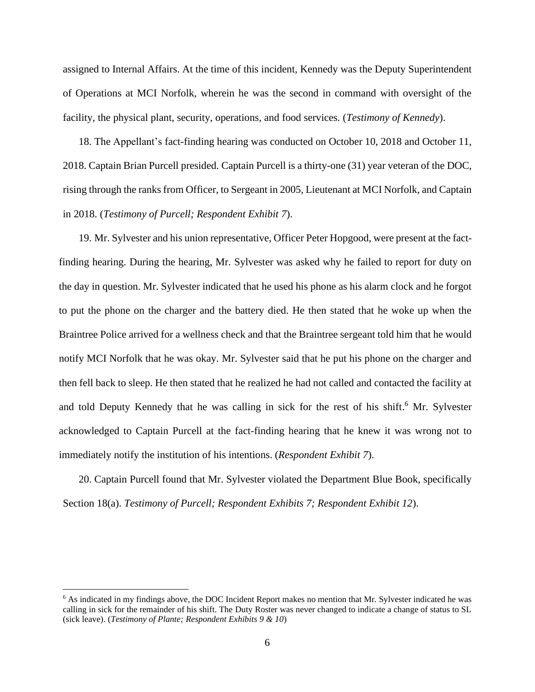assigned to Internal Affairs. At the time of this incident, Kennedy was the Deputy Superintendent of Operations at MCI Norfolk, wherein he was the second in command with oversight of the facility, the physical plant, security, operations, and food services. (*Testimony of Kennedy*).

18. The Appellant's fact-finding hearing was conducted on October 10, 2018 and October 11, 2018. Captain Brian Purcell presided. Captain Purcell is a thirty-one (31) year veteran of the DOC, rising through the ranks from Officer, to Sergeant in 2005, Lieutenant at MCI Norfolk, and Captain in 2018. (*Testimony of Purcell; Respondent Exhibit 7*).

19. Mr. Sylvester and his union representative, Officer Peter Hopgood, were present at the factfinding hearing. During the hearing, Mr. Sylvester was asked why he failed to report for duty on the day in question. Mr. Sylvester indicated that he used his phone as his alarm clock and he forgot to put the phone on the charger and the battery died. He then stated that he woke up when the Braintree Police arrived for a wellness check and that the Braintree sergeant told him that he would notify MCI Norfolk that he was okay. Mr. Sylvester said that he put his phone on the charger and then fell back to sleep. He then stated that he realized he had not called and contacted the facility at and told Deputy Kennedy that he was calling in sick for the rest of his shift.<sup>6</sup> Mr. Sylvester acknowledged to Captain Purcell at the fact-finding hearing that he knew it was wrong not to immediately notify the institution of his intentions. (*Respondent Exhibit 7*).

20. Captain Purcell found that Mr. Sylvester violated the Department Blue Book, specifically Section 18(a). *Testimony of Purcell; Respondent Exhibits 7; Respondent Exhibit 12*).

<sup>&</sup>lt;sup>6</sup> As indicated in my findings above, the DOC Incident Report makes no mention that Mr. Sylvester indicated he was calling in sick for the remainder of his shift. The Duty Roster was never changed to indicate a change of status to SL (sick leave). (*Testimony of Plante; Respondent Exhibits 9 & 10*)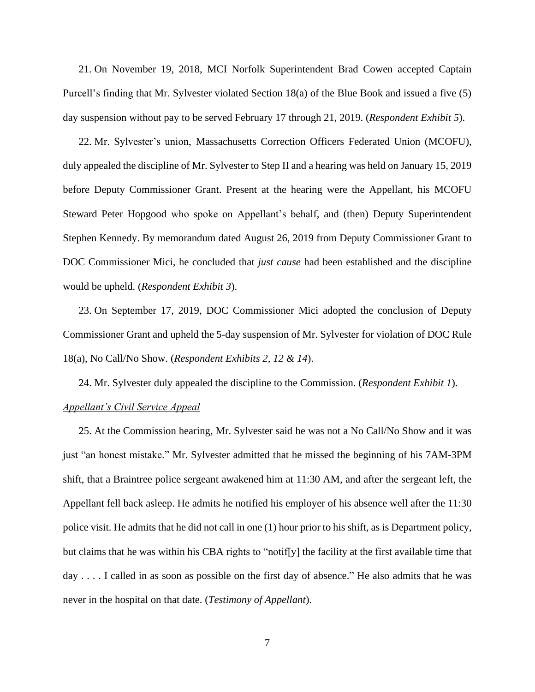21. On November 19, 2018, MCI Norfolk Superintendent Brad Cowen accepted Captain Purcell's finding that Mr. Sylvester violated Section 18(a) of the Blue Book and issued a five (5) day suspension without pay to be served February 17 through 21, 2019. (*Respondent Exhibit 5*).

22. Mr. Sylvester's union, Massachusetts Correction Officers Federated Union (MCOFU), duly appealed the discipline of Mr. Sylvester to Step II and a hearing was held on January 15, 2019 before Deputy Commissioner Grant. Present at the hearing were the Appellant, his MCOFU Steward Peter Hopgood who spoke on Appellant's behalf, and (then) Deputy Superintendent Stephen Kennedy. By memorandum dated August 26, 2019 from Deputy Commissioner Grant to DOC Commissioner Mici, he concluded that *just cause* had been established and the discipline would be upheld. (*Respondent Exhibit 3*).

23. On September 17, 2019, DOC Commissioner Mici adopted the conclusion of Deputy Commissioner Grant and upheld the 5-day suspension of Mr. Sylvester for violation of DOC Rule 18(a), No Call/No Show. (*Respondent Exhibits 2, 12 & 14*).

24. Mr. Sylvester duly appealed the discipline to the Commission. (*Respondent Exhibit 1*). *Appellant's Civil Service Appeal*

25. At the Commission hearing, Mr. Sylvester said he was not a No Call/No Show and it was just "an honest mistake." Mr. Sylvester admitted that he missed the beginning of his 7AM-3PM shift, that a Braintree police sergeant awakened him at 11:30 AM, and after the sergeant left, the Appellant fell back asleep. He admits he notified his employer of his absence well after the 11:30 police visit. He admits that he did not call in one (1) hour prior to his shift, as is Department policy, but claims that he was within his CBA rights to "notif[y] the facility at the first available time that day . . . . I called in as soon as possible on the first day of absence." He also admits that he was never in the hospital on that date. (*Testimony of Appellant*).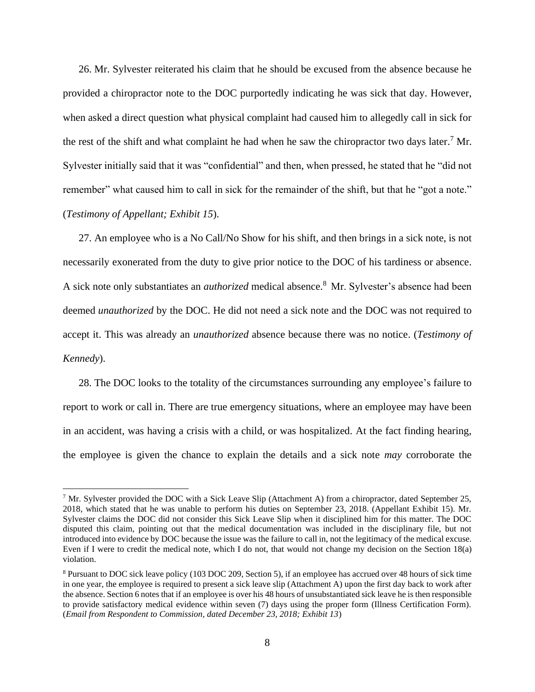26. Mr. Sylvester reiterated his claim that he should be excused from the absence because he provided a chiropractor note to the DOC purportedly indicating he was sick that day. However, when asked a direct question what physical complaint had caused him to allegedly call in sick for the rest of the shift and what complaint he had when he saw the chiropractor two days later.<sup>7</sup> Mr. Sylvester initially said that it was "confidential" and then, when pressed, he stated that he "did not remember" what caused him to call in sick for the remainder of the shift, but that he "got a note." (*Testimony of Appellant; Exhibit 15*).

27. An employee who is a No Call/No Show for his shift, and then brings in a sick note, is not necessarily exonerated from the duty to give prior notice to the DOC of his tardiness or absence. A sick note only substantiates an *authorized* medical absence.<sup>8</sup> Mr. Sylvester's absence had been deemed *unauthorized* by the DOC. He did not need a sick note and the DOC was not required to accept it. This was already an *unauthorized* absence because there was no notice. (*Testimony of Kennedy*).

28. The DOC looks to the totality of the circumstances surrounding any employee's failure to report to work or call in. There are true emergency situations, where an employee may have been in an accident, was having a crisis with a child, or was hospitalized. At the fact finding hearing, the employee is given the chance to explain the details and a sick note *may* corroborate the

<sup>7</sup> Mr. Sylvester provided the DOC with a Sick Leave Slip (Attachment A) from a chiropractor, dated September 25, 2018, which stated that he was unable to perform his duties on September 23, 2018. (Appellant Exhibit 15). Mr. Sylvester claims the DOC did not consider this Sick Leave Slip when it disciplined him for this matter. The DOC disputed this claim, pointing out that the medical documentation was included in the disciplinary file, but not introduced into evidence by DOC because the issue was the failure to call in, not the legitimacy of the medical excuse. Even if I were to credit the medical note, which I do not, that would not change my decision on the Section 18(a) violation.

<sup>8</sup> Pursuant to DOC sick leave policy (103 DOC 209, Section 5), if an employee has accrued over 48 hours of sick time in one year, the employee is required to present a sick leave slip (Attachment A) upon the first day back to work after the absence. Section 6 notes that if an employee is over his 48 hours of unsubstantiated sick leave he is then responsible to provide satisfactory medical evidence within seven (7) days using the proper form (Illness Certification Form). (*Email from Respondent to Commission, dated December 23, 2018; Exhibit 13*)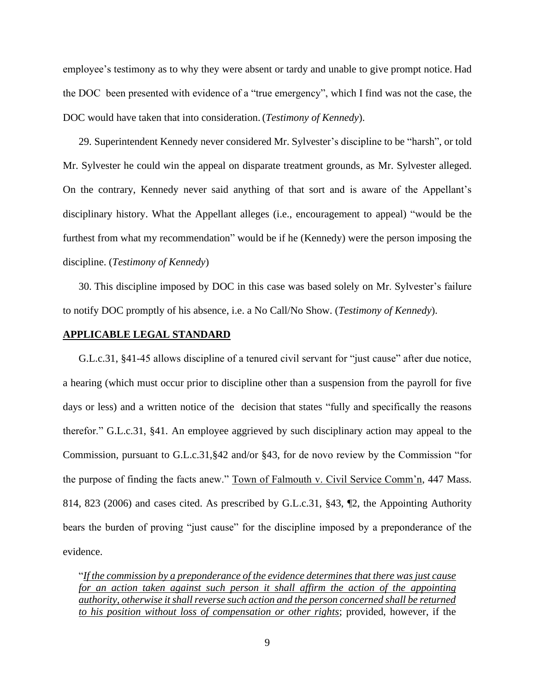employee's testimony as to why they were absent or tardy and unable to give prompt notice. Had the DOC been presented with evidence of a "true emergency", which I find was not the case, the DOC would have taken that into consideration. (*Testimony of Kennedy*).

29. Superintendent Kennedy never considered Mr. Sylvester's discipline to be "harsh", or told Mr. Sylvester he could win the appeal on disparate treatment grounds, as Mr. Sylvester alleged. On the contrary, Kennedy never said anything of that sort and is aware of the Appellant's disciplinary history. What the Appellant alleges (i.e., encouragement to appeal) "would be the furthest from what my recommendation" would be if he (Kennedy) were the person imposing the discipline. (*Testimony of Kennedy*)

30. This discipline imposed by DOC in this case was based solely on Mr. Sylvester's failure to notify DOC promptly of his absence, i.e. a No Call/No Show. (*Testimony of Kennedy*).

## **APPLICABLE LEGAL STANDARD**

G.L.c.31, §41-45 allows discipline of a tenured civil servant for "just cause" after due notice, a hearing (which must occur prior to discipline other than a suspension from the payroll for five days or less) and a written notice of the decision that states "fully and specifically the reasons therefor." G.L.c.31, §41. An employee aggrieved by such disciplinary action may appeal to the Commission, pursuant to G.L.c.31,§42 and/or §43, for de novo review by the Commission "for the purpose of finding the facts anew." Town of Falmouth v. Civil Service Comm'n, 447 Mass. 814, 823 (2006) and cases cited. As prescribed by G.L.c.31, §43, ¶2, the Appointing Authority bears the burden of proving "just cause" for the discipline imposed by a preponderance of the evidence.

"*If the commission by a preponderance of the evidence determines that there was just cause for an action taken against such person it shall affirm the action of the appointing authority, otherwise it shall reverse such action and the person concerned shall be returned to his position without loss of compensation or other rights*; provided, however, if the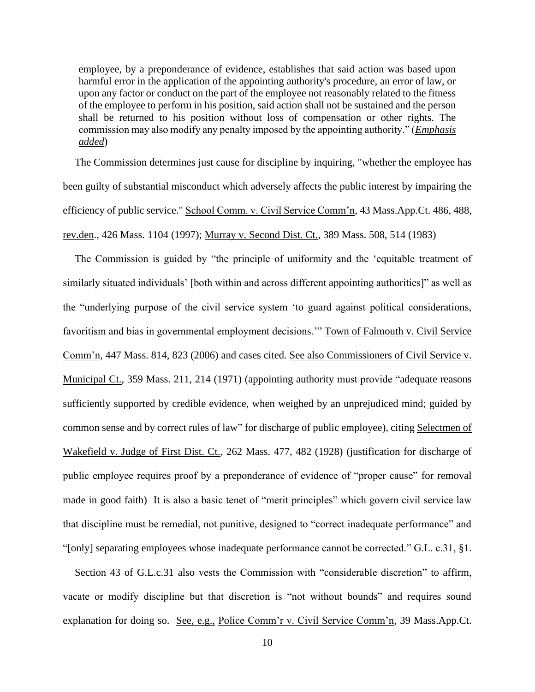employee, by a preponderance of evidence, establishes that said action was based upon harmful error in the application of the appointing authority's procedure, an error of law, or upon any factor or conduct on the part of the employee not reasonably related to the fitness of the employee to perform in his position, said action shall not be sustained and the person shall be returned to his position without loss of compensation or other rights. The commission may also modify any penalty imposed by the appointing authority." (*Emphasis added*)

The Commission determines just cause for discipline by inquiring, "whether the employee has been guilty of substantial misconduct which adversely affects the public interest by impairing the efficiency of public service." School Comm. v. Civil Service Comm'n, 43 Mass.App.Ct. 486, 488, rev.den., 426 Mass. 1104 (1997); Murray v. Second Dist. Ct., 389 Mass. 508, 514 (1983)

The Commission is guided by "the principle of uniformity and the 'equitable treatment of similarly situated individuals' [both within and across different appointing authorities]" as well as the "underlying purpose of the civil service system 'to guard against political considerations, favoritism and bias in governmental employment decisions.'" Town of Falmouth v. Civil Service Comm'n, 447 Mass. 814, 823 (2006) and cases cited. See also Commissioners of Civil Service v. Municipal Ct., 359 Mass. 211, 214 (1971) (appointing authority must provide "adequate reasons sufficiently supported by credible evidence, when weighed by an unprejudiced mind; guided by common sense and by correct rules of law" for discharge of public employee), citing Selectmen of Wakefield v. Judge of First Dist. Ct., 262 Mass. 477, 482 (1928) (justification for discharge of public employee requires proof by a preponderance of evidence of "proper cause" for removal made in good faith) It is also a basic tenet of "merit principles" which govern civil service law that discipline must be remedial, not punitive, designed to "correct inadequate performance" and "[only] separating employees whose inadequate performance cannot be corrected." G.L. c.31, §1.

Section 43 of G.L.c.31 also vests the Commission with "considerable discretion" to affirm, vacate or modify discipline but that discretion is "not without bounds" and requires sound explanation for doing so. See, e.g., Police Comm'r v. Civil Service Comm'n, 39 Mass.App.Ct.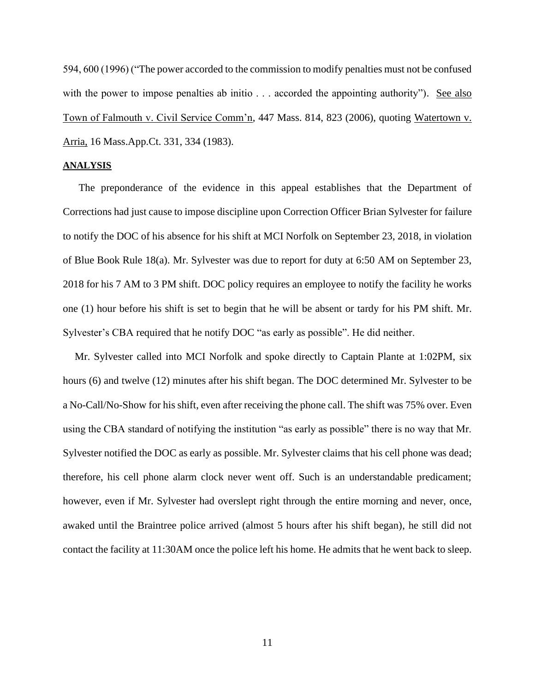594, 600 (1996) ("The power accorded to the commission to modify penalties must not be confused with the power to impose penalties ab initio . . . accorded the appointing authority"). See also Town of Falmouth v. Civil Service Comm'n, 447 Mass. 814, 823 (2006), quoting Watertown v. Arria, 16 Mass.App.Ct. 331, 334 (1983).

#### **ANALYSIS**

The preponderance of the evidence in this appeal establishes that the Department of Corrections had just cause to impose discipline upon Correction Officer Brian Sylvester for failure to notify the DOC of his absence for his shift at MCI Norfolk on September 23, 2018, in violation of Blue Book Rule 18(a). Mr. Sylvester was due to report for duty at 6:50 AM on September 23, 2018 for his 7 AM to 3 PM shift. DOC policy requires an employee to notify the facility he works one (1) hour before his shift is set to begin that he will be absent or tardy for his PM shift. Mr. Sylvester's CBA required that he notify DOC "as early as possible". He did neither.

Mr. Sylvester called into MCI Norfolk and spoke directly to Captain Plante at 1:02PM, six hours (6) and twelve (12) minutes after his shift began. The DOC determined Mr. Sylvester to be a No-Call/No-Show for his shift, even after receiving the phone call. The shift was 75% over. Even using the CBA standard of notifying the institution "as early as possible" there is no way that Mr. Sylvester notified the DOC as early as possible. Mr. Sylvester claims that his cell phone was dead; therefore, his cell phone alarm clock never went off. Such is an understandable predicament; however, even if Mr. Sylvester had overslept right through the entire morning and never, once, awaked until the Braintree police arrived (almost 5 hours after his shift began), he still did not contact the facility at 11:30AM once the police left his home. He admits that he went back to sleep.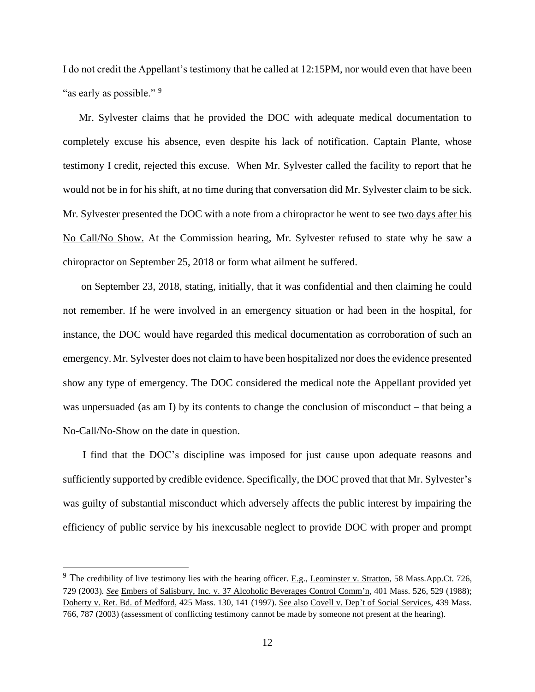I do not credit the Appellant's testimony that he called at 12:15PM, nor would even that have been "as early as possible."<sup>9</sup>

Mr. Sylvester claims that he provided the DOC with adequate medical documentation to completely excuse his absence, even despite his lack of notification. Captain Plante, whose testimony I credit, rejected this excuse. When Mr. Sylvester called the facility to report that he would not be in for his shift, at no time during that conversation did Mr. Sylvester claim to be sick. Mr. Sylvester presented the DOC with a note from a chiropractor he went to see two days after his No Call/No Show. At the Commission hearing, Mr. Sylvester refused to state why he saw a chiropractor on September 25, 2018 or form what ailment he suffered.

on September 23, 2018, stating, initially, that it was confidential and then claiming he could not remember. If he were involved in an emergency situation or had been in the hospital, for instance, the DOC would have regarded this medical documentation as corroboration of such an emergency.Mr. Sylvester does not claim to have been hospitalized nor does the evidence presented show any type of emergency. The DOC considered the medical note the Appellant provided yet was unpersuaded (as am I) by its contents to change the conclusion of misconduct – that being a No-Call/No-Show on the date in question.

I find that the DOC's discipline was imposed for just cause upon adequate reasons and sufficiently supported by credible evidence. Specifically, the DOC proved that that Mr. Sylvester's was guilty of substantial misconduct which adversely affects the public interest by impairing the efficiency of public service by his inexcusable neglect to provide DOC with proper and prompt

 $9$  The credibility of live testimony lies with the hearing officer. E.g., Leominster v. Stratton, 58 Mass.App.Ct. 726, 729 (2003). *See* Embers of Salisbury, Inc. v. 37 Alcoholic Beverages Control Comm'n, 401 Mass. 526, 529 (1988); Doherty v. Ret. Bd. of Medford, 425 Mass. 130, 141 (1997). See also Covell v. Dep't of Social Services, 439 Mass. 766, 787 (2003) (assessment of conflicting testimony cannot be made by someone not present at the hearing).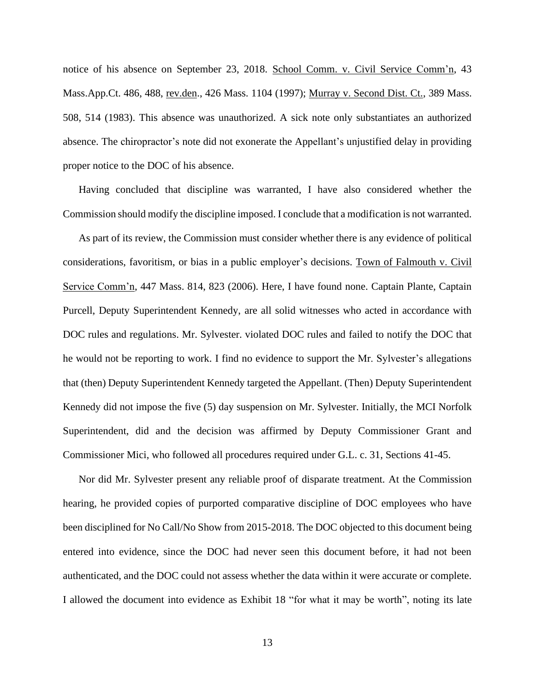notice of his absence on September 23, 2018. School Comm. v. Civil Service Comm'n, 43 Mass.App.Ct. 486, 488, rev.den., 426 Mass. 1104 (1997); Murray v. Second Dist. Ct., 389 Mass. 508, 514 (1983). This absence was unauthorized. A sick note only substantiates an authorized absence. The chiropractor's note did not exonerate the Appellant's unjustified delay in providing proper notice to the DOC of his absence.

Having concluded that discipline was warranted, I have also considered whether the Commission should modify the discipline imposed. I conclude that a modification is not warranted.

As part of its review, the Commission must consider whether there is any evidence of political considerations, favoritism, or bias in a public employer's decisions. Town of Falmouth v. Civil Service Comm'n, 447 Mass. 814, 823 (2006). Here, I have found none. Captain Plante, Captain Purcell, Deputy Superintendent Kennedy, are all solid witnesses who acted in accordance with DOC rules and regulations. Mr. Sylvester. violated DOC rules and failed to notify the DOC that he would not be reporting to work. I find no evidence to support the Mr. Sylvester's allegations that (then) Deputy Superintendent Kennedy targeted the Appellant. (Then) Deputy Superintendent Kennedy did not impose the five (5) day suspension on Mr. Sylvester. Initially, the MCI Norfolk Superintendent, did and the decision was affirmed by Deputy Commissioner Grant and Commissioner Mici, who followed all procedures required under G.L. c. 31, Sections 41-45.

Nor did Mr. Sylvester present any reliable proof of disparate treatment. At the Commission hearing, he provided copies of purported comparative discipline of DOC employees who have been disciplined for No Call/No Show from 2015-2018. The DOC objected to this document being entered into evidence, since the DOC had never seen this document before, it had not been authenticated, and the DOC could not assess whether the data within it were accurate or complete. I allowed the document into evidence as Exhibit 18 "for what it may be worth", noting its late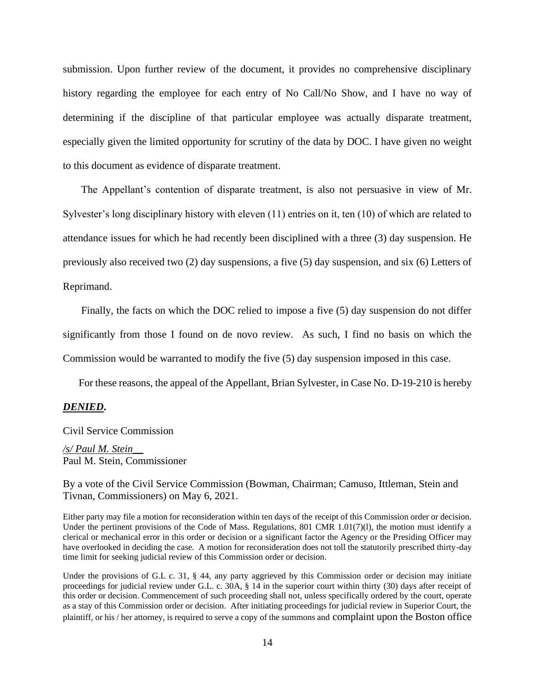submission. Upon further review of the document, it provides no comprehensive disciplinary history regarding the employee for each entry of No Call/No Show, and I have no way of determining if the discipline of that particular employee was actually disparate treatment, especially given the limited opportunity for scrutiny of the data by DOC. I have given no weight to this document as evidence of disparate treatment.

The Appellant's contention of disparate treatment, is also not persuasive in view of Mr. Sylvester's long disciplinary history with eleven (11) entries on it, ten (10) of which are related to attendance issues for which he had recently been disciplined with a three (3) day suspension. He previously also received two (2) day suspensions, a five (5) day suspension, and six (6) Letters of Reprimand.

Finally, the facts on which the DOC relied to impose a five (5) day suspension do not differ significantly from those I found on de novo review. As such, I find no basis on which the Commission would be warranted to modify the five (5) day suspension imposed in this case.

For these reasons, the appeal of the Appellant, Brian Sylvester, in Case No. D-19-210 is hereby

### *DENIED***.**

### Civil Service Commission

*/s/ Paul M. Stein\_\_* Paul M. Stein, Commissioner

By a vote of the Civil Service Commission (Bowman, Chairman; Camuso, Ittleman, Stein and Tivnan, Commissioners) on May 6, 2021.

Either party may file a motion for reconsideration within ten days of the receipt of this Commission order or decision. Under the pertinent provisions of the Code of Mass. Regulations, 801 CMR 1.01(7)(1), the motion must identify a clerical or mechanical error in this order or decision or a significant factor the Agency or the Presiding Officer may have overlooked in deciding the case. A motion for reconsideration does not toll the statutorily prescribed thirty-day time limit for seeking judicial review of this Commission order or decision.

Under the provisions of G.L c. 31, § 44, any party aggrieved by this Commission order or decision may initiate proceedings for judicial review under G.L. c. 30A, § 14 in the superior court within thirty (30) days after receipt of this order or decision. Commencement of such proceeding shall not, unless specifically ordered by the court, operate as a stay of this Commission order or decision. After initiating proceedings for judicial review in Superior Court, the plaintiff, or his / her attorney, is required to serve a copy of the summons and complaint upon the Boston office